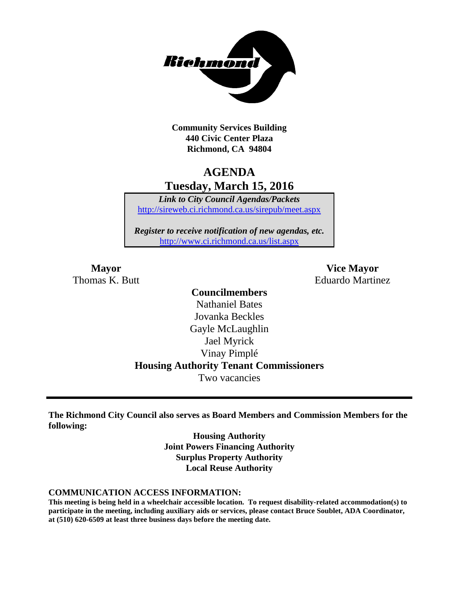

**Community Services Building 440 Civic Center Plaza Richmond, CA 94804**

# **AGENDA Tuesday, March 15, 2016**

*Link to City Council Agendas/Packets* <http://sireweb.ci.richmond.ca.us/sirepub/meet.aspx>

*Register to receive notification of new agendas, etc.* <http://www.ci.richmond.ca.us/list.aspx>

**Mayor Vice Mayor** Thomas K. Butt **Eduardo Martinez** 

## **Councilmembers** Nathaniel Bates Jovanka Beckles Gayle McLaughlin Jael Myrick Vinay Pimplé **Housing Authority Tenant Commissioners** Two vacancies

**The Richmond City Council also serves as Board Members and Commission Members for the following:**

> **Housing Authority Joint Powers Financing Authority Surplus Property Authority Local Reuse Authority**

#### **COMMUNICATION ACCESS INFORMATION:**

**This meeting is being held in a wheelchair accessible location. To request disability-related accommodation(s) to participate in the meeting, including auxiliary aids or services, please contact Bruce Soublet, ADA Coordinator, at (510) 620-6509 at least three business days before the meeting date.**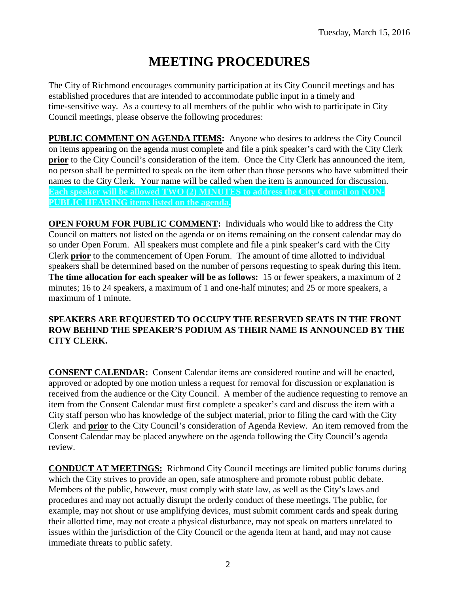# **MEETING PROCEDURES**

The City of Richmond encourages community participation at its City Council meetings and has established procedures that are intended to accommodate public input in a timely and time-sensitive way. As a courtesy to all members of the public who wish to participate in City Council meetings, please observe the following procedures:

**PUBLIC COMMENT ON AGENDA ITEMS:** Anyone who desires to address the City Council on items appearing on the agenda must complete and file a pink speaker's card with the City Clerk **prior** to the City Council's consideration of the item. Once the City Clerk has announced the item, no person shall be permitted to speak on the item other than those persons who have submitted their names to the City Clerk. Your name will be called when the item is announced for discussion. **Each speaker will be allowed TWO (2) MINUTES to address the City Council on NON-PUBLIC HEARING items listed on the agenda.**

**OPEN FORUM FOR PUBLIC COMMENT:** Individuals who would like to address the City Council on matters not listed on the agenda or on items remaining on the consent calendar may do so under Open Forum. All speakers must complete and file a pink speaker's card with the City Clerk **prior** to the commencement of Open Forum. The amount of time allotted to individual speakers shall be determined based on the number of persons requesting to speak during this item. **The time allocation for each speaker will be as follows:** 15 or fewer speakers, a maximum of 2 minutes; 16 to 24 speakers, a maximum of 1 and one-half minutes; and 25 or more speakers, a maximum of 1 minute.

#### **SPEAKERS ARE REQUESTED TO OCCUPY THE RESERVED SEATS IN THE FRONT ROW BEHIND THE SPEAKER'S PODIUM AS THEIR NAME IS ANNOUNCED BY THE CITY CLERK.**

**CONSENT CALENDAR:** Consent Calendar items are considered routine and will be enacted, approved or adopted by one motion unless a request for removal for discussion or explanation is received from the audience or the City Council. A member of the audience requesting to remove an item from the Consent Calendar must first complete a speaker's card and discuss the item with a City staff person who has knowledge of the subject material, prior to filing the card with the City Clerk and **prior** to the City Council's consideration of Agenda Review. An item removed from the Consent Calendar may be placed anywhere on the agenda following the City Council's agenda review.

**CONDUCT AT MEETINGS:** Richmond City Council meetings are limited public forums during which the City strives to provide an open, safe atmosphere and promote robust public debate. Members of the public, however, must comply with state law, as well as the City's laws and procedures and may not actually disrupt the orderly conduct of these meetings. The public, for example, may not shout or use amplifying devices, must submit comment cards and speak during their allotted time, may not create a physical disturbance, may not speak on matters unrelated to issues within the jurisdiction of the City Council or the agenda item at hand, and may not cause immediate threats to public safety.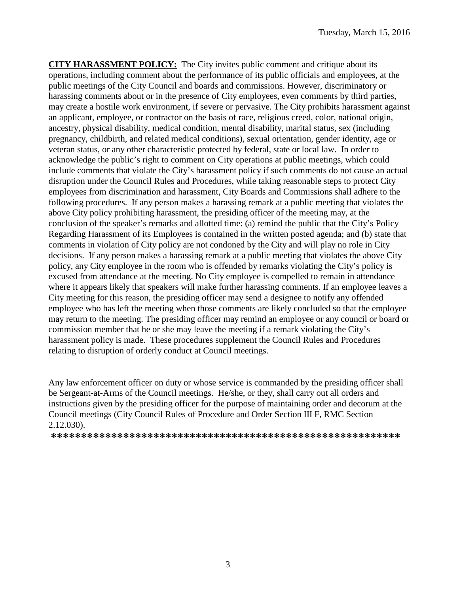**CITY HARASSMENT POLICY:** The City invites public comment and critique about its operations, including comment about the performance of its public officials and employees, at the public meetings of the City Council and boards and commissions. However, discriminatory or harassing comments about or in the presence of City employees, even comments by third parties, may create a hostile work environment, if severe or pervasive. The City prohibits harassment against an applicant, employee, or contractor on the basis of race, religious creed, color, national origin, ancestry, physical disability, medical condition, mental disability, marital status, sex (including pregnancy, childbirth, and related medical conditions), sexual orientation, gender identity, age or veteran status, or any other characteristic protected by federal, state or local law. In order to acknowledge the public's right to comment on City operations at public meetings, which could include comments that violate the City's harassment policy if such comments do not cause an actual disruption under the Council Rules and Procedures, while taking reasonable steps to protect City employees from discrimination and harassment, City Boards and Commissions shall adhere to the following procedures. If any person makes a harassing remark at a public meeting that violates the above City policy prohibiting harassment, the presiding officer of the meeting may, at the conclusion of the speaker's remarks and allotted time: (a) remind the public that the City's Policy Regarding Harassment of its Employees is contained in the written posted agenda; and (b) state that comments in violation of City policy are not condoned by the City and will play no role in City decisions. If any person makes a harassing remark at a public meeting that violates the above City policy, any City employee in the room who is offended by remarks violating the City's policy is excused from attendance at the meeting. No City employee is compelled to remain in attendance where it appears likely that speakers will make further harassing comments. If an employee leaves a City meeting for this reason, the presiding officer may send a designee to notify any offended employee who has left the meeting when those comments are likely concluded so that the employee may return to the meeting. The presiding officer may remind an employee or any council or board or commission member that he or she may leave the meeting if a remark violating the City's harassment policy is made. These procedures supplement the Council Rules and Procedures relating to disruption of orderly conduct at Council meetings.

Any law enforcement officer on duty or whose service is commanded by the presiding officer shall be Sergeant-at-Arms of the Council meetings. He/she, or they, shall carry out all orders and instructions given by the presiding officer for the purpose of maintaining order and decorum at the Council meetings (City Council Rules of Procedure and Order Section III F, RMC Section 2.12.030).

**\*\*\*\*\*\*\*\*\*\*\*\*\*\*\*\*\*\*\*\*\*\*\*\*\*\*\*\*\*\*\*\*\*\*\*\*\*\*\*\*\*\*\*\*\*\*\*\*\*\*\*\*\*\*\*\*\*\***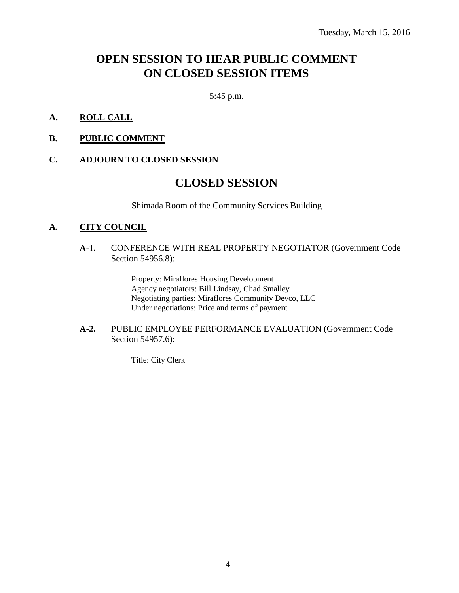# **OPEN SESSION TO HEAR PUBLIC COMMENT ON CLOSED SESSION ITEMS**

5:45 p.m.

- **A. ROLL CALL**
- **B. PUBLIC COMMENT**

#### **C. ADJOURN TO CLOSED SESSION**

### **CLOSED SESSION**

Shimada Room of the Community Services Building

#### **A. CITY COUNCIL**

#### **A-1.** CONFERENCE WITH REAL PROPERTY NEGOTIATOR (Government Code Section 54956.8):

Property: Miraflores Housing Development Agency negotiators: Bill Lindsay, Chad Smalley Negotiating parties: Miraflores Community Devco, LLC Under negotiations: Price and terms of payment

#### **A-2.** PUBLIC EMPLOYEE PERFORMANCE EVALUATION (Government Code Section 54957.6):

Title: City Clerk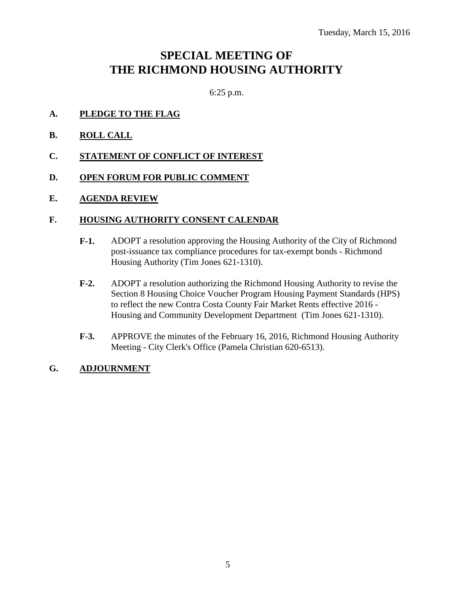# **SPECIAL MEETING OF THE RICHMOND HOUSING AUTHORITY**

6:25 p.m.

- **A. PLEDGE TO THE FLAG**
- **B. ROLL CALL**
- **C. STATEMENT OF CONFLICT OF INTEREST**
- **D. OPEN FORUM FOR PUBLIC COMMENT**
- **E. AGENDA REVIEW**

### **F. HOUSING AUTHORITY CONSENT CALENDAR**

- **F-1.** ADOPT a resolution approving the Housing Authority of the City of Richmond post-issuance tax compliance procedures for tax-exempt bonds - Richmond Housing Authority (Tim Jones 621-1310).
- **F-2.** ADOPT a resolution authorizing the Richmond Housing Authority to revise the Section 8 Housing Choice Voucher Program Housing Payment Standards (HPS) to reflect the new Contra Costa County Fair Market Rents effective 2016 - Housing and Community Development Department (Tim Jones 621-1310).
- **F-3.** APPROVE the minutes of the February 16, 2016, Richmond Housing Authority Meeting - City Clerk's Office (Pamela Christian 620-6513).

#### **G. ADJOURNMENT**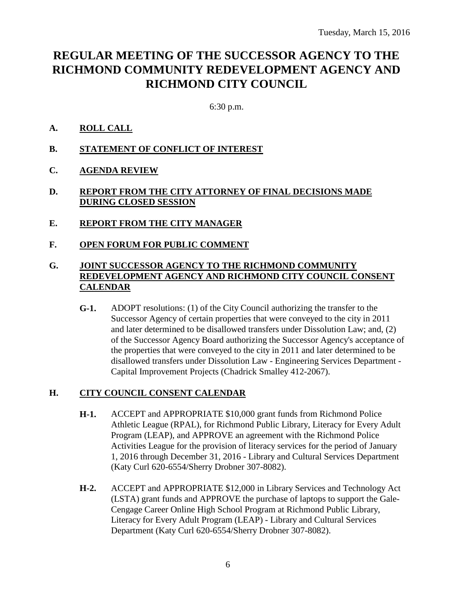# **REGULAR MEETING OF THE SUCCESSOR AGENCY TO THE RICHMOND COMMUNITY REDEVELOPMENT AGENCY AND RICHMOND CITY COUNCIL**

6:30 p.m.

### **A. ROLL CALL**

- **B. STATEMENT OF CONFLICT OF INTEREST**
- **C. AGENDA REVIEW**

### **D. REPORT FROM THE CITY ATTORNEY OF FINAL DECISIONS MADE DURING CLOSED SESSION**

- **E. REPORT FROM THE CITY MANAGER**
- **F. OPEN FORUM FOR PUBLIC COMMENT**

### **G. JOINT SUCCESSOR AGENCY TO THE RICHMOND COMMUNITY REDEVELOPMENT AGENCY AND RICHMOND CITY COUNCIL CONSENT CALENDAR**

**G-1.** ADOPT resolutions: (1) of the City Council authorizing the transfer to the Successor Agency of certain properties that were conveyed to the city in 2011 and later determined to be disallowed transfers under Dissolution Law; and, (2) of the Successor Agency Board authorizing the Successor Agency's acceptance of the properties that were conveyed to the city in 2011 and later determined to be disallowed transfers under Dissolution Law - Engineering Services Department - Capital Improvement Projects (Chadrick Smalley 412-2067).

### **H. CITY COUNCIL CONSENT CALENDAR**

- **H-1.** ACCEPT and APPROPRIATE \$10,000 grant funds from Richmond Police Athletic League (RPAL), for Richmond Public Library, Literacy for Every Adult Program (LEAP), and APPROVE an agreement with the Richmond Police Activities League for the provision of literacy services for the period of January 1, 2016 through December 31, 2016 - Library and Cultural Services Department (Katy Curl 620-6554/Sherry Drobner 307-8082).
- **H-2.** ACCEPT and APPROPRIATE \$12,000 in Library Services and Technology Act (LSTA) grant funds and APPROVE the purchase of laptops to support the Gale-Cengage Career Online High School Program at Richmond Public Library, Literacy for Every Adult Program (LEAP) - Library and Cultural Services Department (Katy Curl 620-6554/Sherry Drobner 307-8082).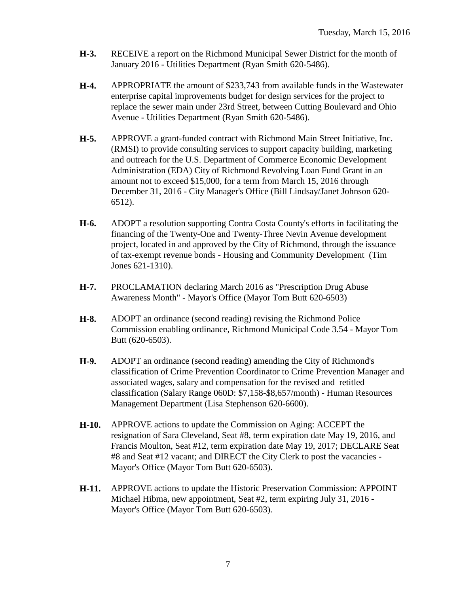- **H-3.** RECEIVE a report on the Richmond Municipal Sewer District for the month of January 2016 - Utilities Department (Ryan Smith 620-5486).
- **H-4.** APPROPRIATE the amount of \$233,743 from available funds in the Wastewater enterprise capital improvements budget for design services for the project to replace the sewer main under 23rd Street, between Cutting Boulevard and Ohio Avenue - Utilities Department (Ryan Smith 620-5486).
- **H-5.** APPROVE a grant-funded contract with Richmond Main Street Initiative, Inc. (RMSI) to provide consulting services to support capacity building, marketing and outreach for the U.S. Department of Commerce Economic Development Administration (EDA) City of Richmond Revolving Loan Fund Grant in an amount not to exceed \$15,000, for a term from March 15, 2016 through December 31, 2016 - City Manager's Office (Bill Lindsay/Janet Johnson 620- 6512).
- **H-6.** ADOPT a resolution supporting Contra Costa County's efforts in facilitating the financing of the Twenty-One and Twenty-Three Nevin Avenue development project, located in and approved by the City of Richmond, through the issuance of tax-exempt revenue bonds - Housing and Community Development (Tim Jones 621-1310).
- **H-7.** PROCLAMATION declaring March 2016 as "Prescription Drug Abuse Awareness Month" - Mayor's Office (Mayor Tom Butt 620-6503)
- **H-8.** ADOPT an ordinance (second reading) revising the Richmond Police Commission enabling ordinance, Richmond Municipal Code 3.54 - Mayor Tom Butt (620-6503).
- **H-9.** ADOPT an ordinance (second reading) amending the City of Richmond's classification of Crime Prevention Coordinator to Crime Prevention Manager and associated wages, salary and compensation for the revised and retitled classification (Salary Range 060D: \$7,158-\$8,657/month) - Human Resources Management Department (Lisa Stephenson 620-6600).
- **H-10.** APPROVE actions to update the Commission on Aging: ACCEPT the resignation of Sara Cleveland, Seat #8, term expiration date May 19, 2016, and Francis Moulton, Seat #12, term expiration date May 19, 2017; DECLARE Seat #8 and Seat #12 vacant; and DIRECT the City Clerk to post the vacancies - Mayor's Office (Mayor Tom Butt 620-6503).
- **H-11.** APPROVE actions to update the Historic Preservation Commission: APPOINT Michael Hibma, new appointment, Seat #2, term expiring July 31, 2016 - Mayor's Office (Mayor Tom Butt 620-6503).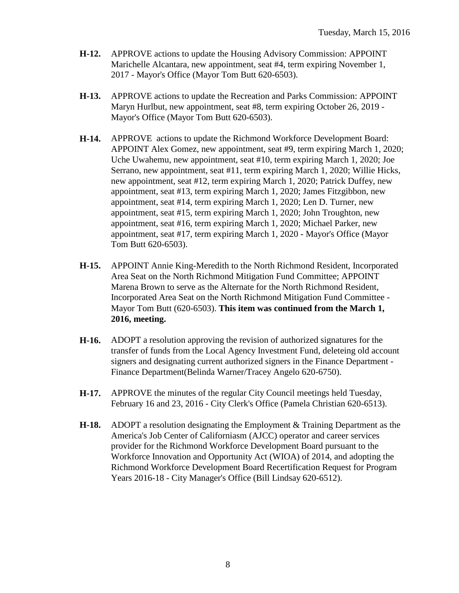- **H-12.** APPROVE actions to update the Housing Advisory Commission: APPOINT Marichelle Alcantara, new appointment, seat #4, term expiring November 1, 2017 - Mayor's Office (Mayor Tom Butt 620-6503).
- **H-13.** APPROVE actions to update the Recreation and Parks Commission: APPOINT Maryn Hurlbut, new appointment, seat #8, term expiring October 26, 2019 - Mayor's Office (Mayor Tom Butt 620-6503).
- **H-14.** APPROVE actions to update the Richmond Workforce Development Board: APPOINT Alex Gomez, new appointment, seat #9, term expiring March 1, 2020; Uche Uwahemu, new appointment, seat #10, term expiring March 1, 2020; Joe Serrano, new appointment, seat #11, term expiring March 1, 2020; Willie Hicks, new appointment, seat #12, term expiring March 1, 2020; Patrick Duffey, new appointment, seat #13, term expiring March 1, 2020; James Fitzgibbon, new appointment, seat #14, term expiring March 1, 2020; Len D. Turner, new appointment, seat #15, term expiring March 1, 2020; John Troughton, new appointment, seat #16, term expiring March 1, 2020; Michael Parker, new appointment, seat #17, term expiring March 1, 2020 - Mayor's Office (Mayor Tom Butt 620-6503).
- **H-15.** APPOINT Annie King-Meredith to the North Richmond Resident, Incorporated Area Seat on the North Richmond Mitigation Fund Committee; APPOINT Marena Brown to serve as the Alternate for the North Richmond Resident, Incorporated Area Seat on the North Richmond Mitigation Fund Committee - Mayor Tom Butt (620-6503). **This item was continued from the March 1, 2016, meeting.**
- **H-16.** ADOPT a resolution approving the revision of authorized signatures for the transfer of funds from the Local Agency Investment Fund, deleteing old account signers and designating current authorized signers in the Finance Department - Finance Department(Belinda Warner/Tracey Angelo 620-6750).
- **H-17.** APPROVE the minutes of the regular City Council meetings held Tuesday, February 16 and 23, 2016 - City Clerk's Office (Pamela Christian 620-6513).
- **H-18.** ADOPT a resolution designating the Employment & Training Department as the America's Job Center of Californiasm (AJCC) operator and career services provider for the Richmond Workforce Development Board pursuant to the Workforce Innovation and Opportunity Act (WIOA) of 2014, and adopting the Richmond Workforce Development Board Recertification Request for Program Years 2016-18 - City Manager's Office (Bill Lindsay 620-6512).